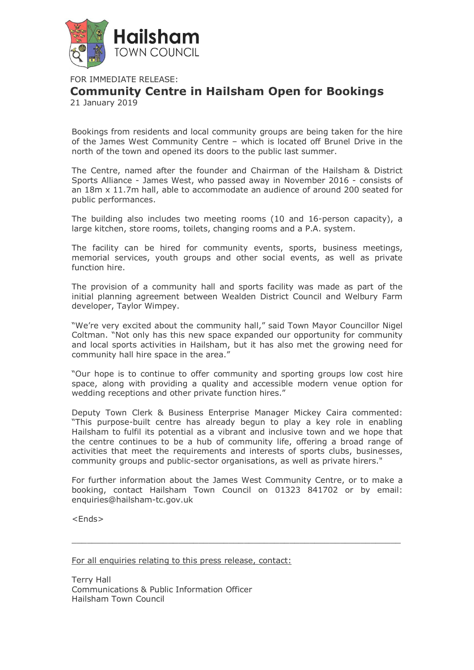

FOR IMMEDIATE RELEASE:

## **Community Centre in Hailsham Open for Bookings**

21 January 2019

Bookings from residents and local community groups are being taken for the hire of the James West Community Centre – which is located off Brunel Drive in the north of the town and opened its doors to the public last summer.

The Centre, named after the founder and Chairman of the Hailsham & District Sports Alliance - James West, who passed away in November 2016 - consists of an 18m x 11.7m hall, able to accommodate an audience of around 200 seated for public performances.

The building also includes two meeting rooms (10 and 16-person capacity), a large kitchen, store rooms, toilets, changing rooms and a P.A. system.

The facility can be hired for community events, sports, business meetings, memorial services, youth groups and other social events, as well as private function hire.

The provision of a community hall and sports facility was made as part of the initial planning agreement between Wealden District Council and Welbury Farm developer, Taylor Wimpey.

"We're very excited about the community hall," said Town Mayor Councillor Nigel Coltman. "Not only has this new space expanded our opportunity for community and local sports activities in Hailsham, but it has also met the growing need for community hall hire space in the area."

"Our hope is to continue to offer community and sporting groups low cost hire space, along with providing a quality and accessible modern venue option for wedding receptions and other private function hires."

Deputy Town Clerk & Business Enterprise Manager Mickey Caira commented: "This purpose-built centre has already begun to play a key role in enabling Hailsham to fulfil its potential as a vibrant and inclusive town and we hope that the centre continues to be a hub of community life, offering a broad range of activities that meet the requirements and interests of sports clubs, businesses, community groups and public-sector organisations, as well as private hirers."

For further information about the James West Community Centre, or to make a booking, contact Hailsham Town Council on 01323 841702 or by email: enquiries@hailsham-tc.gov.uk

 $\overline{a}$  , and the set of the set of the set of the set of the set of the set of the set of the set of the set of the set of the set of the set of the set of the set of the set of the set of the set of the set of the set

<Ends>

For all enquiries relating to this press release, contact:

Terry Hall Communications & Public Information Officer Hailsham Town Council